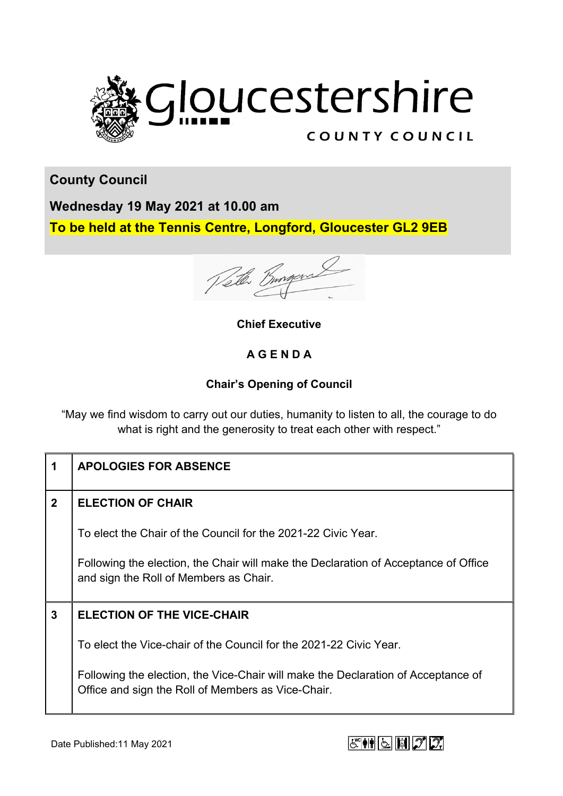

**County Council**

**Wednesday 19 May 2021 at 10.00 am To be held at the Tennis Centre, Longford, Gloucester GL2 9EB**

Velle Bungar

**Chief Executive**

## **A G E N D A**

## **Chair's Opening of Council**

"May we find wisdom to carry out our duties, humanity to listen to all, the courage to do what is right and the generosity to treat each other with respect."

| 1              | <b>APOLOGIES FOR ABSENCE</b>                                                                                                            |
|----------------|-----------------------------------------------------------------------------------------------------------------------------------------|
| $\overline{2}$ | <b>ELECTION OF CHAIR</b>                                                                                                                |
|                | To elect the Chair of the Council for the 2021-22 Civic Year.                                                                           |
|                | Following the election, the Chair will make the Declaration of Acceptance of Office<br>and sign the Roll of Members as Chair.           |
| $\mathbf{3}$   | <b>ELECTION OF THE VICE-CHAIR</b>                                                                                                       |
|                | To elect the Vice-chair of the Council for the 2021-22 Civic Year.                                                                      |
|                | Following the election, the Vice-Chair will make the Declaration of Acceptance of<br>Office and sign the Roll of Members as Vice-Chair. |

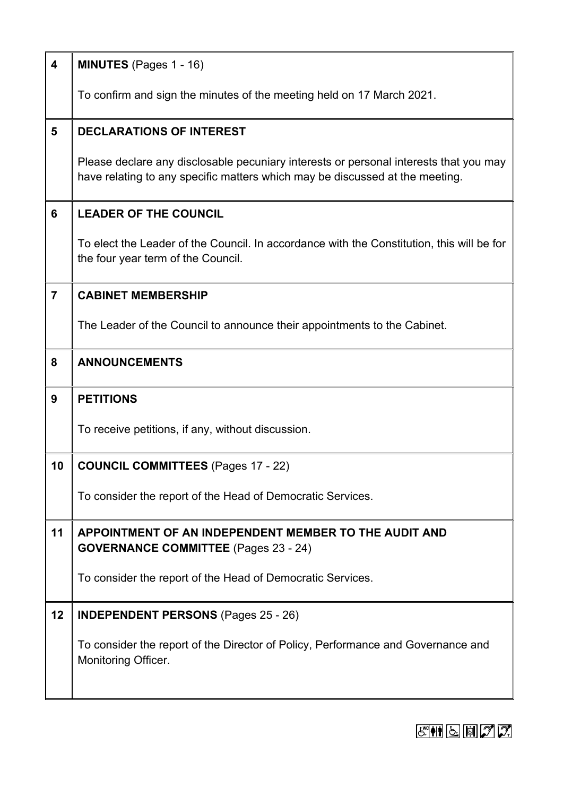| $\overline{\mathbf{4}}$ | <b>MINUTES</b> (Pages 1 - 16)                                                                                                                                         |
|-------------------------|-----------------------------------------------------------------------------------------------------------------------------------------------------------------------|
|                         | To confirm and sign the minutes of the meeting held on 17 March 2021.                                                                                                 |
| 5                       | <b>DECLARATIONS OF INTEREST</b>                                                                                                                                       |
|                         | Please declare any disclosable pecuniary interests or personal interests that you may<br>have relating to any specific matters which may be discussed at the meeting. |
| 6                       | <b>LEADER OF THE COUNCIL</b>                                                                                                                                          |
|                         | To elect the Leader of the Council. In accordance with the Constitution, this will be for<br>the four year term of the Council.                                       |
| $\overline{7}$          | <b>CABINET MEMBERSHIP</b>                                                                                                                                             |
|                         | The Leader of the Council to announce their appointments to the Cabinet.                                                                                              |
| 8                       | <b>ANNOUNCEMENTS</b>                                                                                                                                                  |
| $\boldsymbol{9}$        | <b>PETITIONS</b>                                                                                                                                                      |
|                         | To receive petitions, if any, without discussion.                                                                                                                     |
| 10                      | <b>COUNCIL COMMITTEES (Pages 17 - 22)</b>                                                                                                                             |
|                         | To consider the report of the Head of Democratic Services.                                                                                                            |
|                         |                                                                                                                                                                       |
| 11                      | APPOINTMENT OF AN INDEPENDENT MEMBER TO THE AUDIT AND<br><b>GOVERNANCE COMMITTEE</b> (Pages 23 - 24)                                                                  |
|                         | To consider the report of the Head of Democratic Services.                                                                                                            |
| 12                      | <b>INDEPENDENT PERSONS</b> (Pages 25 - 26)                                                                                                                            |
|                         | To consider the report of the Director of Policy, Performance and Governance and<br><b>Monitoring Officer.</b>                                                        |

## $E \cong \mathbb{N}$   $\boxed{5}$   $\boxed{7}$   $2$